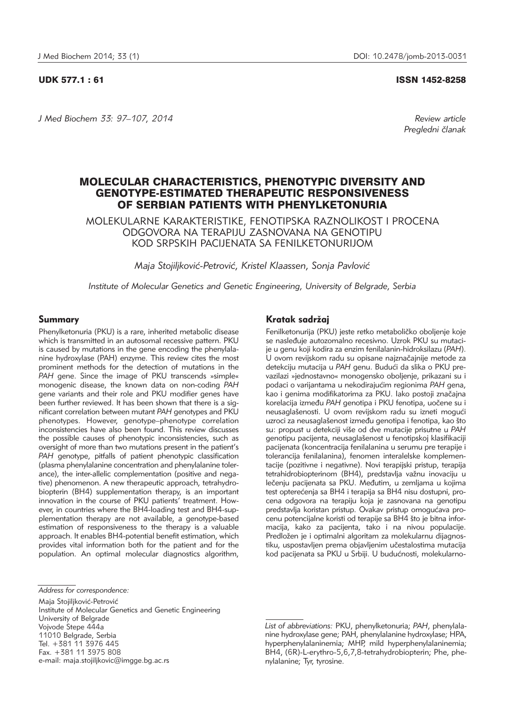#### UDK 577.1 : 61 ISSN 1452-8258

*J Med Biochem 33: 97–107, 2014 Review article*

*Pregledni ~lanak*

# MOLECULAR CHARACTERISTICS, PHENOTYPIC DIVERSITY AND GENOTYPE-ESTIMATED THERAPEUTIC RESPONSIVENESS OF SERBIAN PATIENTS WITH PHENYLKETONURIA

MOLEKULARNE KARAKTERISTIKE, FENOTIPSKA RAZNOLIKOST I PROCENA ODGOVORA NA TERAPIJU ZASNOVANA NA GENOTIPU KOD SRPSKIH PACIJENATA SA FENILKETONURIJOM

*Maja Stojiljković-Petrović, Kristel Klaassen, Sonja Pavlović* 

*Institute of Molecular Genetics and Genetic Engineering, University of Belgrade, Serbia*

#### Summary

Phenylketonuria (PKU) is a rare, inherited metabolic disease which is transmitted in an autosomal recessive pattern. PKU is caused by mutations in the gene encoding the phenylalanine hydroxylase (PAH) enzyme. This review cites the most prominent methods for the detection of mutations in the *PAH* gene. Since the image of PKU transcends »simple« monogenic disease, the known data on non-coding *PAH* gene variants and their role and PKU modifier genes have been further reviewed. It has been shown that there is a significant correlation between mutant *PAH* genotypes and PKU phenotypes. However, genotype–phenotype correlation inconsistencies have also been found. This review discusses the possible causes of phenotypic inconsistencies, such as oversight of more than two mutations present in the patient's *PAH* genotype, pitfalls of patient phenotypic classification (plasma phenylalanine concentration and phenylalanine tolerance), the inter-allelic complementation (positive and negative) phenomenon. A new therapeutic approach, tetrahydrobiopterin (BH4) supplementation therapy, is an important innovation in the course of PKU patients' treatment. However, in countries where the BH4-loading test and BH4-supplementation therapy are not available, a genotype-based estimation of responsiveness to the therapy is a valuable approach. It enables BH4-potential benefit estimation, which provides vital information both for the patient and for the population. An optimal molecular diagnostics algorithm,

#### *Address for correspondence:*

Maja Stojiljković-Petrović Institute of Molecular Genetics and Genetic Engineering University of Belgrade Vojvode Stepe 444a 11010 Belgrade, Serbia Tel. +381 11 3976 445 Fax. +381 11 3975 808 e-mail: maja.stojiljkovic@imgge.bg.ac.rs

#### Kratak sadržaj

Fenilketonurija (PKU) jeste retko metaboličko oboljenje koje se nasleđuje autozomalno recesivno. Uzrok PKU su mutacije u genu koji kodira za enzim fenilalanin-hidroksilazu (*PAH*). U ovom revijskom radu su opisane najznačajnije metode za detekciju mutacija u PAH genu. Budući da slika o PKU prevazilazi »jednostavno« monogensko oboljenje, prikazani su i podaci o varijantama u nekodirajućim regionima PAH gena, kao i genima modifikatorima za PKU. Iako postoji značajna korelacija između PAH genotipa i PKU fenotipa, uočene su i neusaglašenosti. U ovom revijskom radu su izneti mogući uzroci za neusaglašenost između genotipa i fenotipa, kao što su: propust u detekciji više od dve mutacije prisutne u PAH genotipu pacijenta, neusagla{enost u fenotipskoj klasifikaciji pacijenata (koncentracija fenilalanina u serumu pre terapije i tolerancija fenilalanina), fenomen interalelske komplementacije (pozitivne i negativne). Novi terapijski pristup, terapija tetrahidrobiopterinom (BH4), predstavlja važnu inovaciju u lečenju pacijenata sa PKU. Međutim, u zemljama u kojima test opterećenja sa BH4 i terapija sa BH4 nisu dostupni, procena odgovora na terapiju koja je zasnovana na genotipu predstavlja koristan pristup. Ovakav pristup omogućava procenu potencijalne koristi od terapije sa BH4 što je bitna informacija, kako za pacijenta, tako i na nivou populacije. Predložen je i optimalni algoritam za molekularnu dijagnostiku, uspostavljen prema objavljenim učestalostima mutacija kod pacijenata sa PKU u Srbiji. U budućnosti, molekularno-

*List of abbreviations:* PKU, phenylketonuria; *PAH*, phenylala nine hydroxylase gene; PAH, phenylalanine hydroxylase; HPA, hyperphenylalaninemia; MHP, mild hyperphenylalaninemia; BH4, (6R)-L-erythro-5,6,7,8-tetrahydrobiopterin; Phe, phenylalanine; Tyr, tyrosine.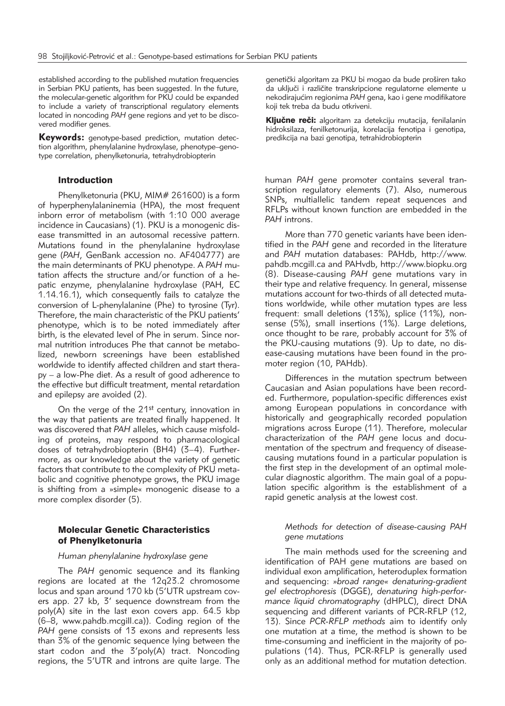established according to the published mutation frequencies in Serbian PKU patients, has been suggested. In the future, the molecular-genetic algorithm for PKU could be expanded to include a variety of transcriptional regulatory elements located in noncoding *PAH* gene regions and yet to be discovered modifier genes.

Keywords: genotype-based prediction, mutation detection algorithm, phenylalanine hydroxylase, phenotype–genotype correlation, phenylketonuria, tetrahydrobiopterin

# Introduction

Phenylketonuria (PKU, MIM# 261600) is a form of hyperphenylalaninemia (HPA), the most frequent inborn error of metabolism (with 1:10 000 average incidence in Caucasians) (1). PKU is a monogenic disease transmitted in an autosomal recessive pattern. Mutations found in the phenylalanine hydroxylase gene (*PAH*, GenBank accession no. AF404777) are the main determinants of PKU phenotype. A PAH mutation affects the structure and/or function of a hepatic enzyme, phenylalanine hydroxylase (PAH, EC 1.14.16.1), which consequently fails to catalyze the conversion of L-phenylalanine (Phe) to tyrosine (Tyr). Therefore, the main characteristic of the PKU patients' phenotype, which is to be noted immediately after birth, is the elevated level of Phe in serum. Since normal nutrition introduces Phe that cannot be metabolized, newborn screenings have been established worldwide to identify affected children and start therapy – a low-Phe diet. As a result of good adherence to the effective but difficult treatment, mental retardation and epilepsy are avoided (2).

On the verge of the 21<sup>st</sup> century, innovation in the way that patients are treated finally happened. It was discovered that *PAH* alleles, which cause misfolding of proteins, may respond to pharmacological doses of tetrahydrobiopterin (BH4) (3-4). Furthermore, as our knowledge about the variety of genetic factors that contribute to the complexity of PKU metabolic and cognitive phenotype grows, the PKU image is shifting from a »simple« monogenic disease to a more complex disorder (5).

### Molecular Genetic Characteristics of Phenylketonuria

# *Human phenylalanine hydroxylase gene*

The *PAH* genomic sequence and its flanking regions are located at the 12q23.2 chromosome locus and span around 170 kb (5'UTR upstream covers app. 27 kb, 3' sequence downstream from the poly(A) site in the last exon covers app. 64.5 kbp (6–8, www.pahdb.mcgill.ca)). Coding region of the *PAH* gene consists of 13 exons and represents less than 3% of the genomic sequence lying between the start codon and the 3'poly(A) tract. Noncoding regions, the 5'UTR and introns are quite large. The

genetički algoritam za PKU bi mogao da bude proširen tako da uključi i različite transkripcione regulatorne elemente u nekodirajućim regionima PAH gena, kao i gene modifikatore koji tek treba da budu otkriveni.

Kliučne reči: algoritam za detekciju mutacija, fenilalanin hidroksilaza, fenilketonurija, korelacija fenotipa i genotipa, predikcija na bazi genotipa, tetrahidrobiopterin

human *PAH* gene promoter contains several transcription regulatory elements (7). Also, numerous SNPs, multiallelic tandem repeat sequences and RFLPs without known function are embedded in the *PAH* introns.

More than 770 genetic variants have been identified in the *PAH* gene and recorded in the literature and *PAH* mutation databases: PAHdb, http://www. pahdb.mcgill.ca and PAHvdb, http://www.biopku.org (8). Disease-causing *PAH* gene mutations vary in their type and relative frequency. In general, missense mutations account for two-thirds of all detected mutations worldwide, while other mutation types are less frequent: small deletions (13%), splice (11%), nonsense (5%), small insertions (1%). Large deletions, once thought to be rare, probably account for 3% of the PKU-causing mutations (9). Up to date, no disease-causing mutations have been found in the promoter region (10, PAHdb).

Differences in the mutation spectrum between Caucasian and Asian populations have been recorded. Furthermore, population-specific differences exist among European populations in concordance with historically and geographically recorded population migrations across Europe (11). Therefore, molecular characterization of the *PAH* gene locus and documentation of the spectrum and frequency of diseasecausing mutations found in a particular population is the first step in the development of an optimal molecular diagnostic algorithm. The main goal of a population specific algorithm is the establishment of a rapid genetic analysis at the lowest cost.

#### *Methods for detection of disease-causing PAH gene mutations*

The main methods used for the screening and identification of PAH gene mutations are based on individual exon amplification, heteroduplex formation and sequencing: *»broad range« denaturing-gradient gel electrophoresis* (DGGE), *denaturing high-perfor mance liquid chromatography* (dHPLC), direct DNA sequencing and different variants of PCR-RFLP (12, 13). Since *PCR-RFLP methods* aim to identify only one mutation at a time, the method is shown to be time-consuming and inefficient in the majority of populations (14). Thus, PCR-RFLP is generally used only as an additional method for mutation detection.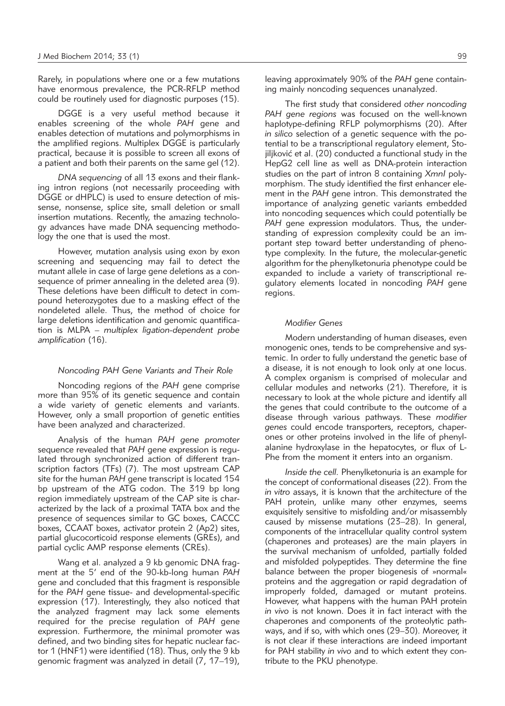Rarely, in populations where one or a few mutations have enormous prevalence, the PCR-RFLP method could be routinely used for diagnostic purposes (15).

DGGE is a very useful method because it enables screening of the whole *PAH* gene and enables detection of mutations and polymorphisms in the amplified regions. Multiplex DGGE is particularly practical, because it is possible to screen all exons of a patient and both their parents on the same gel (12).

*DNA sequencing* of all 13 exons and their flanking intron regions (not necessarily proceeding with DGGE or dHPLC) is used to ensure detection of missense, nonsense, splice site, small deletion or small insertion mutations. Recently, the amazing technology advances have made DNA sequencing methodology the one that is used the most.

However, mutation analysis using exon by exon screening and sequencing may fail to detect the mutant allele in case of large gene deletions as a consequence of primer annealing in the deleted area (9). These deletions have been difficult to detect in compound heterozygotes due to a masking effect of the nondeleted allele. Thus, the method of choice for large deletions identification and genomic quantification is MLPA – *multiplex ligation-dependent probe amplification* (16).

#### *Noncoding PAH Gene Variants and Their Role*

Noncoding regions of the *PAH* gene comprise more than 95% of its genetic sequence and contain a wide variety of genetic elements and variants. However, only a small proportion of genetic entities have been analyzed and characterized.

Analysis of the human *PAH gene promoter* sequence revealed that *PAH* gene expression is regulated through synchronized action of different transcription factors (TFs) (7). The most upstream CAP site for the human *PAH* gene transcript is located 154 bp upstream of the ATG codon. The 319 bp long region immediately upstream of the CAP site is characterized by the lack of a proximal TATA box and the presence of sequences similar to GC boxes, CACCC boxes, CCAAT boxes, activator protein 2 (Ap2) sites, partial glucocorticoid response elements (GREs), and partial cyclic AMP response elements (CREs).

Wang et al. analyzed a 9 kb genomic DNA fragment at the 5' end of the 90-kb-long human *PAH* gene and concluded that this fragment is responsible for the *PAH* gene tissue- and developmental-specific expression (17). Interestingly, they also noticed that the analyzed fragment may lack some elements required for the precise regulation of *PAH* gene expression. Furthermore, the minimal promoter was defined, and two binding sites for hepatic nuclear factor 1 (HNF1) were identified (18). Thus, only the 9 kb genomic fragment was analyzed in detail (7, 17–19),

leaving approximately 90% of the *PAH* gene containing mainly noncoding sequences unanalyzed.

The first study that considered *other noncoding PAH gene regions* was focused on the well-known haplotype-defining RFLP polymorphisms (20). After in silico selection of a genetic sequence with the potential to be a transcriptional regulatory element, Stojiljković et al. (20) conducted a functional study in the HepG2 cell line as well as DNA-protein interaction studies on the part of intron 8 containing *XmnI* polymorphism. The study identified the first enhancer element in the *PAH* gene intron. This demonstrated the importance of analyzing genetic variants embedded into noncoding sequences which could potentially be *PAH* gene expression modulators. Thus, the understanding of expression complexity could be an important step toward better understanding of phenotype complexity. In the future, the molecular-genetic algorithm for the phenylketonuria phenotype could be expanded to include a variety of transcriptional regulatory elements located in noncoding *PAH* gene regions.

#### *Modifier Genes*

Modern understanding of human diseases, even monogenic ones, tends to be comprehensive and systemic. In order to fully understand the genetic base of a disease, it is not enough to look only at one locus. A complex organism is comprised of molecular and cellular modules and networks (21). Therefore, it is necessary to look at the whole picture and identify all the genes that could contribute to the outcome of a disease through various pathways. These *modifier genes* could encode transporters, receptors, chaperones or other proteins involved in the life of phenylalanine hydroxylase in the hepatocytes, or flux of L-Phe from the moment it enters into an organism.

*Inside the cell.* Phenylketonuria is an example for the concept of conformational diseases (22). From the *in vitro* assays, it is known that the architecture of the PAH protein, unlike many other enzymes, seems exquisitely sensitive to misfolding and/or misassembly caused by missense mutations (23–28). In general, components of the intracellular quality control system (chaperones and proteases) are the main players in the survival mechanism of unfolded, partially folded and misfolded polypeptides. They determine the fine balance between the proper biogenesis of »normal« proteins and the aggregation or rapid degradation of improperly folded, damaged or mutant proteins. However, what happens with the human PAH protein *in vivo* is not known. Does it in fact interact with the chaperones and components of the proteolytic pathways, and if so, with which ones (29–30). Moreover, it is not clear if these interactions are indeed important for PAH stability *in vivo* and to which extent they contribute to the PKU phenotype.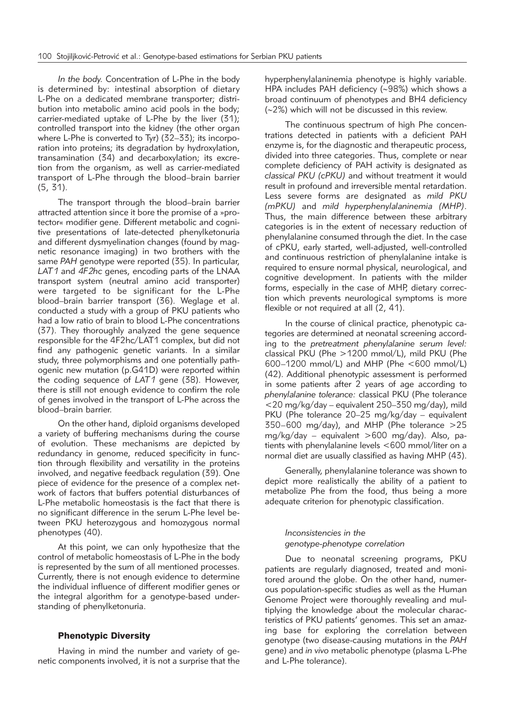*In the body.* Concentration of L-Phe in the body is determined by: intestinal absorption of dietary L-Phe on a dedicated membrane transporter; distribution into metabolic amino acid pools in the body; carrier-mediated uptake of L-Phe by the liver (31); controlled transport into the kidney (the other organ where L-Phe is converted to Tyr) (32–33); its incorporation into proteins; its degradation by hydroxylation, transamination (34) and decarboxylation; its excretion from the organism, as well as carrier-mediated transport of L-Phe through the blood–brain barrier (5, 31).

The transport through the blood–brain barrier attracted attention since it bore the promise of a »protector« modifier gene. Different metabolic and cognitive presentations of late-detected phenylketonuria and different dysmyelination changes (found by magnetic resonance imaging) in two brothers with the same *PAH* genotype were reported (35). In particular, *LAT1* and *4F2hc* genes, encoding parts of the LNAA transport system (neutral amino acid transporter) were targeted to be significant for the L-Phe blood–brain barrier transport (36). Weglage et al. conducted a study with a group of PKU patients who had a low ratio of brain to blood L-Phe concentrations (37). They thoroughly analyzed the gene sequence responsible for the 4F2hc/LAT1 complex, but did not find any pathogenic genetic variants. In a similar study, three polymorphisms and one potentially pathogenic new mutation (p.G41D) were reported within the coding sequence of *LAT1* gene (38). However, there is still not enough evidence to confirm the role of genes involved in the transport of L-Phe across the blood–brain barrier.

On the other hand, diploid organisms developed a variety of buffering mechanisms during the course of evolution. These mechanisms are depicted by redundancy in genome, reduced specificity in function through flexibility and versatility in the proteins involved, and negative feedback regulation (39). One piece of evidence for the presence of a complex network of factors that buffers potential disturbances of L-Phe metabolic homeostasis is the fact that there is no significant difference in the serum L-Phe level be tween PKU heterozygous and homozygous normal phenotypes (40).

At this point, we can only hypothesize that the control of metabolic homeostasis of L-Phe in the body is represented by the sum of all mentioned processes. Currently, there is not enough evidence to determine the individual influence of different modifier genes or the integral algorithm for a genotype-based understanding of phenylketonuria.

# Phenotypic Diversity

Having in mind the number and variety of genetic components involved, it is not a surprise that the hyperphenylalaninemia phenotype is highly variable. HPA includes PAH deficiency (∼98%) which shows a broad continuum of phenotypes and BH4 deficiency (∼2%) which will not be discussed in this review.

The continuous spectrum of high Phe concentrations detected in patients with a deficient PAH enzyme is, for the diagnostic and therapeutic process, divided into three categories. Thus, complete or near complete deficiency of PAH activity is designated as *classical PKU (cPKU)* and without treatment it would result in profound and irreversible mental retardation. Less severe forms are designated as *mild PKU (mPKU)* and *mild hyperphenylalaninemia (MHP)*. Thus, the main difference between these arbitrary categories is in the extent of necessary reduction of phenylalanine consumed through the diet. In the case of cPKU, early started, well-adjusted, well-controlled and continuous restriction of phenylalanine intake is required to ensure normal physical, neurological, and cognitive development. In patients with the milder forms, especially in the case of MHP, dietary correction which prevents neurological symptoms is more flexible or not required at all  $(2, 41)$ .

In the course of clinical practice, phenotypic categories are determined at neonatal screening according to the *pretreatment phenylalanine serum level:* classical PKU (Phe >1200 mmol/L), mild PKU (Phe 600–1200 mmol/L) and MHP (Phe <600 mmol/L) (42). Additional phenotypic assessment is performed in some patients after 2 years of age according to *phenylalanine tolerance:* classical PKU (Phe tolerance <20 mg/kg/day – equivalent 250–350 mg/day), mild PKU (Phe tolerance 20–25 mg/kg/day – equivalent 350–600 mg/day), and MHP (Phe tolerance >25  $mg/kg/day - equivalent >600 mg/day$ . Also, patients with phenylalanine levels <600 mmol/liter on a normal diet are usually classified as having MHP (43).

Generally, phenylalanine tolerance was shown to depict more realistically the ability of a patient to metabolize Phe from the food, thus being a more adequate criterion for phenotypic classification.

# *Inconsistencies in the genotype-phenotype correlation*

Due to neonatal screening programs, PKU patients are regularly diagnosed, treated and monitored around the globe. On the other hand, numerous population-specific studies as well as the Human Genome Project were thoroughly revealing and multiplying the knowledge about the molecular characteristics of PKU patients' genomes. This set an amazing base for exploring the correlation between genotype (two disease-causing mutations in the *PAH* gene) and *in vivo* metabolic phenotype (plasma L-Phe and L-Phe tolerance).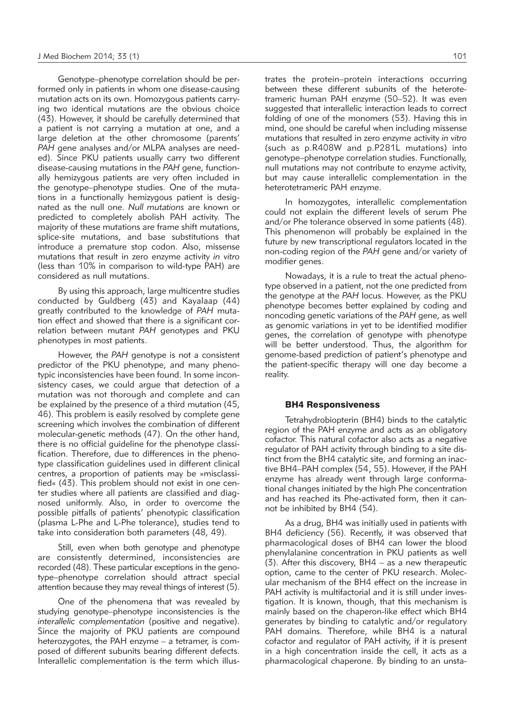Genotype–phenotype correlation should be performed only in patients in whom one disease-causing mutation acts on its own. Homozygous patients carrying two identical mutations are the obvious choice (43). However, it should be carefully determined that a patient is not carrying a mutation at one, and a large deletion at the other chromosome (parents' *PAH* gene analyses and/or MLPA analyses are needed). Since PKU patients usually carry two different disease-causing mutations in the *PAH* gene, functionally hemizygous patients are very often included in the genotype–phenotype studies. One of the mutations in a functionally hemizygous patient is designated as the null one. *Null mutations* are known or predicted to completely abolish PAH activity. The majority of these mutations are frame shift mutations, splice-site mutations, and base substitutions that introduce a premature stop codon. Also, missense mutations that result in zero enzyme activity *in vitro* (less than 10% in comparison to wild-type PAH) are considered as null mutations.

By using this approach, large multicentre studies conducted by Guldberg (43) and Kayalaap (44) greatly contributed to the knowledge of *PAH* mutation effect and showed that there is a significant correlation between mutant *PAH* genotypes and PKU phenotypes in most patients.

However, the *PAH* genotype is not a consistent predictor of the PKU phenotype, and many phenotypic inconsistencies have been found. In some inconsistency cases, we could argue that detection of a mutation was not thorough and complete and can be explained by the presence of a third mutation (45, 46). This problem is easily resolved by complete gene screening which involves the combination of different molecular-genetic methods (47). On the other hand, there is no official guideline for the phenotype classification. Therefore, due to differences in the phenotype classification guidelines used in different clinical centres, a proportion of patients may be »misclassified« (43). This problem should not exist in one center studies where all patients are classified and diagnosed uniformly. Also, in order to overcome the possible pitfalls of patients' phenotypic classification (plasma L-Phe and L-Phe tolerance), studies tend to take into consideration both parameters (48, 49).

Still, even when both genotype and phenotype are consistently determined, inconsistencies are recorded (48). These particular exceptions in the genotype–phenotype correlation should attract special attention because they may reveal things of interest (5).

One of the phenomena that was revealed by studying genotype–phenotype inconsistencies is the *interallelic complementation* (positive and negative). Since the majority of PKU patients are compound heterozygotes, the PAH enzyme – a tetramer, is composed of different subunits bearing different defects. Interallelic complementation is the term which illustrates the protein–protein interactions occurring between these different subunits of the heterotetrameric human PAH enzyme (50–52). It was even suggested that interallelic interaction leads to correct folding of one of the monomers (53). Having this in mind, one should be careful when including missense mutations that resulted in zero enzyme activity *in vitro* (such as p.R408W and p.P281L mutations) into genotype–phenotype correlation studies. Functionally, null mutations may not contribute to enzyme activity, but may cause interallelic complementation in the heterotetrameric PAH enzyme.

In homozygotes, interallelic complementation could not explain the different levels of serum Phe and/or Phe tolerance observed in some patients (48). This phenomenon will probably be explained in the future by new transcriptional regulators located in the non-coding region of the *PAH* gene and/or variety of modifier genes.

Nowadays, it is a rule to treat the actual phenotype observed in a patient, not the one predicted from the genotype at the *PAH* locus. However, as the PKU phenotype becomes better explained by coding and noncoding genetic variations of the *PAH* gene, as well as genomic variations in yet to be identified modifier genes, the correlation of genotype with phenotype will be better understood. Thus, the algorithm for genome-based prediction of patient's phenotype and the patient-specific therapy will one day become a reality.

#### BH4 Responsiveness

Tetrahydrobiopterin (BH4) binds to the catalytic region of the PAH enzyme and acts as an obligatory cofactor. This natural cofactor also acts as a negative regulator of PAH activity through binding to a site distinct from the BH4 catalytic site, and forming an inactive BH4–PAH complex (54, 55). However, if the PAH enzyme has already went through large conformational changes initiated by the high Phe concentration and has reached its Phe-activated form, then it cannot be inhibited by BH4 (54).

As a drug, BH4 was initially used in patients with BH4 deficiency (56). Recently, it was observed that pharmacological doses of BH4 can lower the blood phenylalanine concentration in PKU patients as well (3). After this discovery, BH4 – as a new therapeutic option, came to the center of PKU research. Molecular mechanism of the BH4 effect on the increase in PAH activity is multifactorial and it is still under investigation. It is known, though, that this mechanism is mainly based on the chaperon-like effect which BH4 generates by binding to catalytic and/or regulatory PAH domains. Therefore, while BH4 is a natural cofactor and regulator of PAH activity, if it is present in a high concentration inside the cell, it acts as a pharmacological chaperone. By binding to an unsta-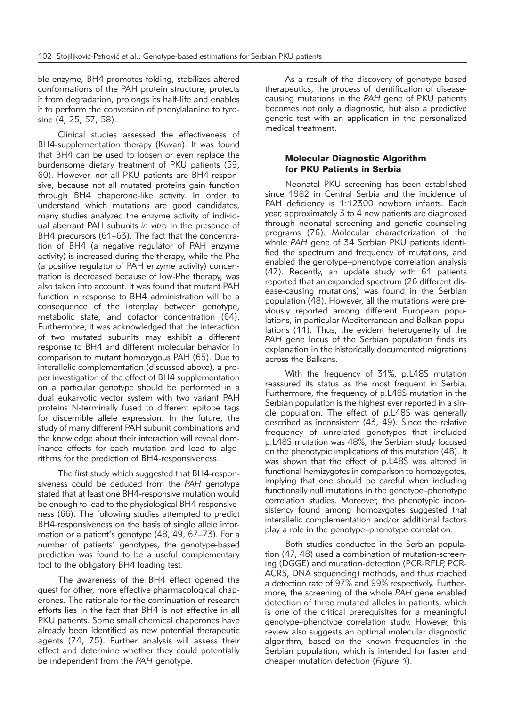ble enzyme, BH4 promotes folding, stabilizes altered conformations of the PAH protein structure, protects it from degradation, prolongs its half-life and enables it to perform the conversion of phenylalanine to tyrosine (4, 25, 57, 58).

Clinical studies assessed the effectiveness of BH4-supplementation therapy (Kuvan). It was found that BH4 can be used to loosen or even replace the burdensome dietary treatment of PKU patients (59, 60). However, not all PKU patients are BH4-responsive, because not all mutated proteins gain function through BH4 chaperone-like activity. In order to understand which mutations are good candidates, many studies analyzed the enzyme activity of individual aberrant PAH subunits *in vitro* in the presence of BH4 precursors (61–63). The fact that the concentration of BH4 (a negative regulator of PAH enzyme activity) is increased during the therapy, while the Phe (a positive regulator of PAH enzyme activity) concentration is decreased because of low-Phe therapy, was also taken into account. It was found that mutant PAH function in response to BH4 administration will be a consequence of the interplay between genotype, metabolic state, and cofactor concentration (64). Furthermore, it was acknowledged that the interaction of two mutated subunits may exhibit a different response to BH4 and different molecular behavior in comparison to mutant homozygous PAH (65). Due to interallelic complementation (discussed above), a proper investigation of the effect of BH4 supplementation on a particular genotype should be performed in a dual eukaryotic vector system with two variant PAH proteins N-terminally fused to different epitope tags for discernible allele expression. In the future, the study of many different PAH subunit combinations and the knowledge about their interaction will reveal dominance effects for each mutation and lead to algorithms for the prediction of BH4-responsiveness.

The first study which suggested that BH4-responsiveness could be deduced from the *PAH* genotype stated that at least one BH4-responsive mutation would be enough to lead to the physiological BH4 responsiveness (66). The following studies attempted to predict BH4-responsiveness on the basis of single allele information or a patient's genotype (48, 49, 67–73). For a number of patients' genotypes, the genotype-based prediction was found to be a useful complementary tool to the obligatory BH4 loading test.

The awareness of the BH4 effect opened the quest for other, more effective pharmacological chaperones. The rationale for the continuation of research efforts lies in the fact that BH4 is not effective in all PKU patients. Some small chemical chaperones have already been identified as new potential therapeutic agents (74, 75). Further analysis will assess their effect and determine whether they could potentially be independent from the *PAH* genotype.

As a result of the discovery of genotype-based therapeutics, the process of identification of diseasecausing mutations in the *PAH* gene of PKU patients becomes not only a diagnostic, but also a predictive genetic test with an application in the personalized medical treatment.

# Molecular Diagnostic Algorithm for PKU Patients in Serbia

Neonatal PKU screening has been established since 1982 in Central Serbia and the incidence of PAH deficiency is 1:12300 newborn infants. Each year, approximately 3 to 4 new patients are diagnosed through neonatal screening and genetic counseling programs (76). Molecular characterization of the whole *PAH* gene of 34 Serbian PKU patients identified the spectrum and frequency of mutations, and enabled the genotype–phenotype correlation analysis (47). Recently, an update study with 61 patients reported that an expanded spectrum (26 different disease-causing mutations) was found in the Serbian population (48). However, all the mutations were previously reported among different European populations, in particular Mediterranean and Balkan populations (11). Thus, the evident heterogeneity of the *PAH* gene locus of the Serbian population finds its explanation in the historically documented migrations across the Balkans.

With the frequency of 31%, p.L48S mutation reassured its status as the most frequent in Serbia. Furthermore, the frequency of p.L48S mutation in the Serbian population is the highest ever reported in a single population. The effect of p.L48S was generally described as inconsistent (43, 49). Since the relative frequency of unrelated genotypes that included p.L48S mutation was 48%, the Serbian study focused on the phenotypic implications of this mutation (48). It was shown that the effect of p.L48S was altered in functional hemizygotes in comparison to homozygotes, implying that one should be careful when including functionally null mutations in the genotype–phenotype correlation studies. Moreover, the phenotypic inconsistency found among homozygotes suggested that interallelic complementation and/or additional factors play a role in the genotype–phenotype correlation.

Both studies conducted in the Serbian population (47, 48) used a combination of mutation-screening (DGGE) and mutation-detection (PCR-RFLP, PCR-ACRS, DNA sequencing) methods, and thus reached a detection rate of 97% and 99% respectively. Furthermore, the screening of the whole *PAH* gene enabled detection of three mutated alleles in patients, which is one of the critical prerequisites for a meaningful genotype–phenotype correlation study. However, this review also suggests an optimal molecular diagnostic algorithm, based on the known frequencies in the Serbian population, which is intended for faster and cheaper mutation detection (*Figure 1*).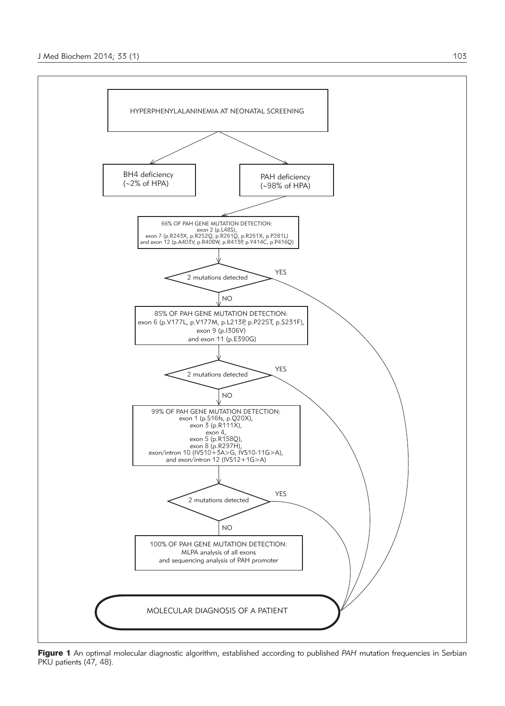

Figure 1 An optimal molecular diagnostic algorithm, established according to published PAH mutation frequencies in Serbian PKU patients (47, 48).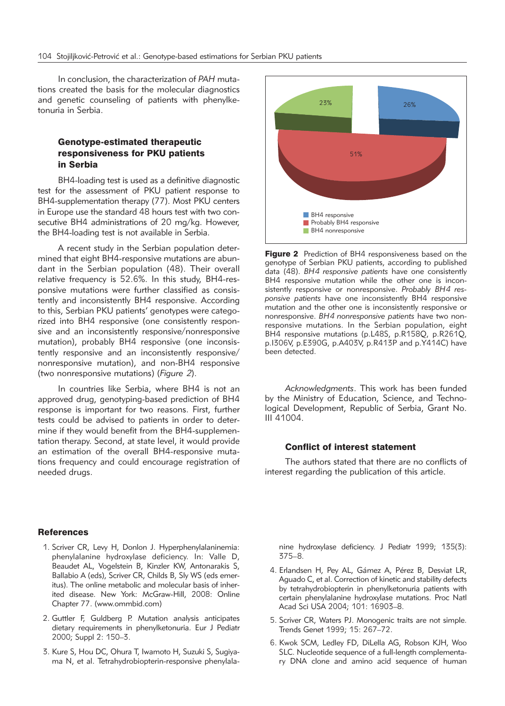In conclusion, the characterization of *PAH* mutations created the basis for the molecular diagnostics and genetic counseling of patients with phenylketonuria in Serbia.

# Genotype-estimated therapeutic responsiveness for PKU patients in Serbia

BH4-loading test is used as a definitive diagnostic test for the assessment of PKU patient response to BH4-supplementation therapy (77). Most PKU centers in Europe use the standard 48 hours test with two consecutive BH4 administrations of 20 mg/kg. However, the BH4-loading test is not available in Serbia.

A recent study in the Serbian population determined that eight BH4-responsive mutations are abundant in the Serbian population (48). Their overall relative frequency is 52.6%. In this study, BH4-responsive mutations were further classified as consistently and inconsistently BH4 responsive. According to this, Serbian PKU patients' genotypes were categorized into BH4 responsive (one consistently responsive and an inconsistently responsive/nonresponsive mutation), probably BH4 responsive (one inconsistently responsive and an inconsistently responsive/ nonresponsive mutation), and non-BH4 responsive (two nonresponsive mutations) (*Figure 2*).

In countries like Serbia, where BH4 is not an approved drug, genotyping-based prediction of BH4 response is important for two reasons. First, further tests could be advised to patients in order to determine if they would benefit from the BH4-supplementation therapy. Second, at state level, it would provide an estimation of the overall BH4-responsive mutations frequency and could encourage registration of needed drugs.



Figure 2 Prediction of BH4 responsiveness based on the genotype of Serbian PKU patients, according to published data (48). *BH4 responsive patients* have one consistently BH4 responsive mutation while the other one is inconsistently responsive or nonresponsive. *Probably BH4 res ponsive patients* have one inconsistently BH4 responsive mutation and the other one is inconsistently responsive or nonresponsive. *BH4 nonresponsive patients* have two nonresponsive mutations. In the Serbian population, eight BH4 responsive mutations (p.L48S, p.R158Q, p.R261Q, p.I306V, p.E390G, p.A403V, p.R413P and p.Y414C) have been detected.

*Acknowledgments*. This work has been funded by the Ministry of Education, Science, and Technological Development, Republic of Serbia, Grant No. III 41004.

#### Conflict of interest statement

The authors stated that there are no conflicts of interest regarding the publication of this article.

#### **References**

- 1. Scriver CR, Levy H, Donlon J. Hyperphenylalaninemia: phenylalanine hydroxylase deficiency. In: Valle D, Beaudet AL, Vogelstein B, Kinzler KW, Antonarakis S, Ballabio A (eds), Scriver CR, Childs B, Sly WS (eds emeritus). The online metabolic and molecular basis of inherited disease. New York: McGraw-Hill, 2008: Online Chapter 77. (www.ommbid.com)
- 2. Guttler F, Guldberg P. Mutation analysis anticipates dietary requirements in phenylketonuria. Eur J Pediatr 2000; Suppl 2: 150–3.
- 3. Kure S, Hou DC, Ohura T, Iwamoto H, Suzuki S, Sugiyama N, et al. Tetrahydrobiopterin-responsive phenylala-

nine hydroxylase deficiency. J Pediatr 1999; 135(3): 375–8.

- 4. Erlandsen H, Pey AL, Gámez A, Pérez B, Desviat LR, Aguado C, et al. Correction of kinetic and stability defects by tetrahydrobiopterin in phenylketonuria patients with certain phenylalanine hydroxylase mutations. Proc Natl Acad Sci USA 2004; 101: 16903–8.
- 5. Scriver CR, Waters PJ. Monogenic traits are not simple. Trends Genet 1999; 15: 267–72.
- 6. Kwok SCM, Ledley FD, DiLella AG, Robson KJH, Woo SLC. Nucleotide sequence of a full-length complementary DNA clone and amino acid sequence of human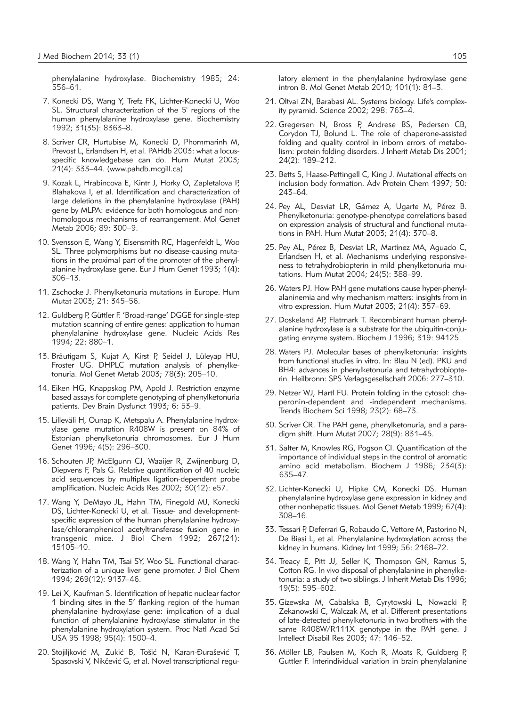phenylalanine hydroxylase. Biochemistry 1985; 24: 556–61.

- 7. Konecki DS, Wang Y, Trefz FK, Lichter-Konecki U, Woo SL. Structural characterization of the 5' regions of the human phenylalanine hydroxylase gene. Biochemistry 1992; 31(35): 8363–8.
- 8. Scriver CR, Hurtubise M, Konecki D, Phommarinh M, Prevost L, Erlandsen H, et al. PAHdb 2003: what a locusspecific knowledgebase can do. Hum Mutat 2003; 21(4): 333–44. (www.pahdb.mcgill.ca)
- 9. Kozak L, Hrabincova E, Kintr J, Horky O, Zapletalova P, Blahakova I, et al. Identification and characterization of large deletions in the phenylalanine hydroxylase (PAH) gene by MLPA: evidence for both homologous and nonhomologous mechanisms of rearrangement. Mol Genet Metab 2006; 89: 300–9.
- 10. Svensson E, Wang Y, Eisensmith RC, Hagenfeldt L, Woo SL. Three polymorphisms but no disease-causing mutations in the proximal part of the promoter of the phenylalanine hydroxylase gene. Eur J Hum Genet 1993; 1(4): 306–13.
- 11. Zschocke J. Phenylketonuria mutations in Europe. Hum Mutat 2003; 21: 345–56.
- 12. Guldberg P, Güttler F. 'Broad-range' DGGE for single-step mutation scanning of entire genes: application to human phenylalanine hydroxylase gene. Nucleic Acids Res 1994; 22: 880–1.
- 13. Bräutigam S, Kujat A, Kirst P, Seidel J, Lüleyap HU, Froster UG. DHPLC mutation analysis of phenylketonuria. Mol Genet Metab 2003; 78(3): 205–10.
- 14. Eiken HG, Knappskog PM, Apold J. Restriction enzyme based assays for complete genotyping of phenylketonuria patients. Dev Brain Dysfunct 1993; 6: 53–9.
- 15. Lilleväli H, Ounap K, Metspalu A. Phenylalanine hydroxylase gene mutation R408W is present on 84% of Estonian phenylketonuria chromosomes. Eur J Hum Genet 1996; 4(5): 296–300.
- 16. Schouten JP, McElgunn CJ, Waaijer R, Zwijnenburg D, Diepvens F, Pals G. Relative quantification of 40 nucleic acid sequences by multiplex ligation-dependent probe amplification. Nucleic Acids Res 2002; 30(12): e57.
- 17. Wang Y, DeMayo JL, Hahn TM, Finegold MJ, Konecki DS, Lichter-Konecki U, et al. Tissue- and developmentspecific expression of the human phenylalanine hydroxylase/chloramphenicol acetyltransferase fusion gene in transgenic mice. J Biol Chem 1992; 267(21): 15105–10.
- 18. Wang Y, Hahn TM, Tsai SY, Woo SL. Functional characterization of a unique liver gene promoter. J Biol Chem 1994; 269(12): 9137–46.
- 19. Lei X, Kaufman S. Identification of hepatic nuclear factor 1 binding sites in the 5' flanking region of the human phenylalanine hydroxylase gene: implication of a dual function of phenylalanine hydroxylase stimulator in the phenylalanine hydroxylation system. Proc Natl Acad Sci USA 95 1998; 95(4): 1500–4.
- 20. Stojiljković M, Zukić B, Tošić N, Karan-Đurašević T, Spasovski V, Nikčević G, et al. Novel transcriptional regu-

latory element in the phenylalanine hydroxylase gene intron 8. Mol Genet Metab 2010; 101(1): 81–3.

- 21. Oltvai ZN, Barabasi AL. Systems biology. Life's complexity pyramid. Science 2002; 298: 763–4.
- 22. Gregersen N, Bross P, Andrese BS, Pedersen CB, Corydon TJ, Bolund L. The role of chaperone-assisted folding and quality control in inborn errors of metabolism: protein folding disorders. J Inherit Metab Dis 2001; 24(2): 189–212.
- 23. Betts S, Haase-Pettingell C, King J. Mutational effects on inclusion body formation. Adv Protein Chem 1997; 50: 243–64.
- 24. Pey AL, Desviat LR, Gámez A, Ugarte M, Pérez B. Phenylketonuria: genotype-phenotype correlations based on expression analysis of structural and functional mutations in PAH. Hum Mutat 2003; 21(4): 370–8.
- 25. Pey AL, Pérez B, Desviat LR, Martínez MA, Aguado C, Erlandsen H, et al. Mechanisms underlying responsiveness to tetrahydrobiopterin in mild phenylketonuria mutations. Hum Mutat 2004; 24(5): 388–99.
- 26. Waters PJ. How PAH gene mutations cause hyper-phenylalaninemia and why mechanism matters: insights from in vitro expression. Hum Mutat 2003; 21(4): 357–69.
- 27. Doskeland AP, Flatmark T. Recombinant human phenylalanine hydroxylase is a substrate for the ubiquitin-conjugating enzyme system. Biochem J 1996; 319: 94125.
- 28. Waters PJ. Molecular bases of phenylketonuria: insights from functional studies in vitro. In: Blau N (ed). PKU and BH4: advances in phenylketonuria and tetrahydrobiopterin. Heilbronn: SPS Verlagsgesellschaft 2006: 277–310.
- 29. Netzer WJ, Hartl FU. Protein folding in the cytosol: chaperonin-dependent and -independent mechanisms. Trends Biochem Sci 1998; 23(2): 68–73.
- 30. Scriver CR. The PAH gene, phenylketonuria, and a paradigm shift. Hum Mutat 2007; 28(9): 831–45.
- 31. Salter M, Knowles RG, Pogson CI. Quantification of the importance of individual steps in the control of aromatic amino acid metabolism. Biochem J 1986; 234(3): 635–47.
- 32. Lichter-Konecki U, Hipke CM, Konecki DS. Human phenylalanine hydroxylase gene expression in kidney and other nonhepatic tissues. Mol Genet Metab 1999; 67(4): 308–16.
- 33. Tessari P, Deferrari G, Robaudo C, Vettore M, Pastorino N, De Biasi L, et al. Phenylalanine hydroxylation across the kidney in humans. Kidney Int 1999; 56: 2168–72.
- 34. Treacy E, Pitt JJ, Seller K, Thompson GN, Ramus S, Cotton RG. In vivo disposal of phenylalanine in phenylketonuria: a study of two siblings. J Inherit Metab Dis 1996; 19(5): 595–602.
- 35. Gizewska M, Cabalska B, Cyrytowski L, Nowacki P, Zekanowski C, Walczak M, et al. Different presentations of late-detected phenylketonuria in two brothers with the same R408W/R111X genotype in the PAH gene. J Intellect Disabil Res 2003; 47: 146–52.
- 36. Möller LB, Paulsen M, Koch R, Moats R, Guldberg P, Guttler F. Interindividual variation in brain phenylalanine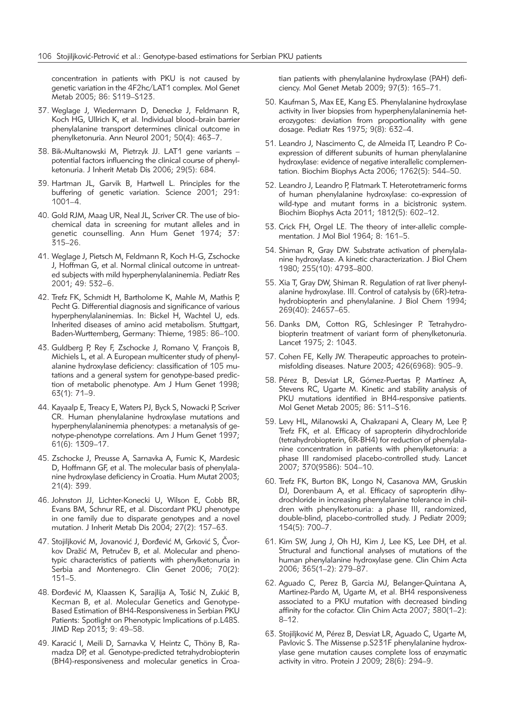concentration in patients with PKU is not caused by genetic variation in the 4F2hc/LAT1 complex. Mol Genet Metab 2005; 86: S119–S123.

- 37. Weglage J, Wiedermann D, Denecke J, Feldmann R, Koch HG, Ullrich K, et al. Individual blood–brain barrier phenylalanine transport determines clinical outcome in phenylketonuria. Ann Neurol 2001; 50(4): 463–7.
- 38. Bik-Multanowski M, Pietrzyk JJ. LAT1 gene variants potential factors influencing the clinical course of phenylketonuria. J Inherit Metab Dis 2006; 29(5): 684.
- 39. Hartman JL, Garvik B, Hartwell L. Principles for the buffering of genetic variation. Science 2001; 291: 1001–4.
- 40. Gold RJM, Maag UR, Neal JL, Scriver CR. The use of biochemical data in screening for mutant alleles and in genetic counselling. Ann Hum Genet 1974; 37: 315–26.
- 41. Weglage J, Pietsch M, Feldmann R, Koch H-G, Zschocke J, Hoffman G, et al. Normal clinical outcome in untreated subjects with mild hyperphenylalaninemia. Pediatr Res 2001; 49: 532–6.
- 42. Trefz FK, Schmidt H, Bartholome K, Mahle M, Mathis P, Pecht G. Differential diagnosis and significance of various hyperphenylalaninemias. In: Bickel H, Wachtel U, eds. Inherited diseases of amino acid metabolism. Stuttgart, Baden-Wurttemberg, Germany: Thieme, 1985: 86–100.
- 43. Guldberg P, Rey F, Zschocke J, Romano V, François B, Michiels L, et al. A European multicenter study of phenylalanine hydroxylase deficiency: classification of 105 mu tations and a general system for genotype-based prediction of metabolic phenotype. Am J Hum Genet 1998; 63(1): 71–9.
- 44. Kayaalp E, Treacy E, Waters PJ, Byck S, Nowacki P, Scriver CR. Human phenylalanine hydroxylase mutations and hyperphenylalaninemia phenotypes: a metanalysis of genotype-phenotype correlations. Am J Hum Genet 1997; 61(6): 1309–17.
- 45. Zschocke J, Preusse A, Sarnavka A, Fumic K, Mardesic D, Hoffmann GF, et al. The molecular basis of phenylalanine hydroxylase deficiency in Croatia. Hum Mutat 2003; 21(4): 399.
- 46. Johnston JJ, Lichter-Konecki U, Wilson E, Cobb BR, Evans BM, Schnur RE, et al. Discordant PKU phenotype in one family due to disparate genotypes and a novel mutation. J Inherit Metab Dis 2004; 27(2): 157–63.
- 47. Stojiljković M, Jovanović J, Đorđević M, Grković S, Čvorkov Dražić M, Petručev B, et al. Molecular and phenotypic characteristics of patients with phenylketonuria in Serbia and Montenegro. Clin Genet 2006; 70(2): 151–5.
- 48. Đorđević M, Klaassen K, Sarajlija A, Tošić N, Zukić B, Kecman B, et al. Molecular Genetics and Genotype-Ba sed Estimation of BH4-Responsiveness in Serbian PKU Patients: Spotlight on Phenotypic Implications of p.L48S. JIMD Rep 2013; 9: 49–58.
- 49. Karacić I, Meili D, Sarnavka V, Heintz C, Thöny B, Ramadza DP, et al. Genotype-predicted tetrahydrobiopterin (BH4)-responsiveness and molecular genetics in Croa-

tian patients with phenylalanine hydroxylase (PAH) deficiency. Mol Genet Metab 2009; 97(3): 165–71.

- 50. Kaufman S, Max EE, Kang ES. Phenylalanine hydroxylase activity in liver biopsies from hyperphenylalaninemia heterozygotes: deviation from proportionality with gene dosage. Pediatr Res 1975; 9(8): 632–4.
- 51. Leandro J, Nascimento C, de Almeida IT, Leandro P. Coexpression of different subunits of human phenylalanine hydroxylase: evidence of negative interallelic complementation. Biochim Biophys Acta 2006; 1762(5): 544–50.
- 52. Leandro J, Leandro P, Flatmark T. Heterotetrameric forms of human phenylalanine hydroxylase: co-expression of wild-type and mutant forms in a bicistronic system. Biochim Biophys Acta 2011; 1812(5): 602–12.
- 53. Crick FH, Orgel LE. The theory of inter-allelic complementation. J Mol Biol 1964; 8: 161–5.
- 54. Shiman R, Gray DW. Substrate activation of phenylalanine hydroxylase. A kinetic characterization. J Biol Chem 1980; 255(10): 4793–800.
- 55. Xia T, Gray DW, Shiman R. Regulation of rat liver phenylalanine hydroxylase. III. Control of catalysis by (6R)-tetra hydrobiopterin and phenylalanine. J Biol Chem 1994; 269(40): 24657–65.
- 56. Danks DM, Cotton RG, Schlesinger P. Tetrahydrobiopterin treatment of variant form of phenylketonuria. Lancet 1975; 2: 1043.
- 57. Cohen FE, Kelly JW. Therapeutic approaches to proteinmisfolding diseases. Nature 2003; 426(6968): 905–9.
- 58. Pérez B, Desviat LR, Gómez-Puertas P, Martínez A, Stevens RC, Ugarte M. Kinetic and stability analysis of PKU mutations identified in BH4-responsive patients. Mol Genet Metab 2005; 86: S11–S16.
- 59. Levy HL, Milanowski A, Chakrapani A, Cleary M, Lee P, Trefz FK, et al. Efficacy of sapropterin dihydrochloride (tetrahydrobiopterin, 6R-BH4) for reduction of phenylalanine concentration in patients with phenylketonuria: a phase III randomised placebo-controlled study. Lancet 2007; 370(9586): 504–10.
- 60. Trefz FK, Burton BK, Longo N, Casanova MM, Gruskin DJ, Dorenbaum A, et al. Efficacy of sapropterin dihydrochloride in increasing phenylalanine tolerance in children with phenylketonuria: a phase III, randomized, double-blind, placebo-controlled study. J Pediatr 2009; 154(5): 700–7.
- 61. Kim SW, Jung J, Oh HJ, Kim J, Lee KS, Lee DH, et al. Structural and functional analyses of mutations of the human phenylalanine hydroxylase gene. Clin Chim Acta 2006; 365(1–2): 279–87.
- 62. Aguado C, Perez B, Garcia MJ, Belanger-Quintana A, Martinez-Pardo M, Ugarte M, et al. BH4 responsiveness associated to a PKU mutation with decreased binding affinity for the cofactor. Clin Chim Acta 2007; 380(1–2): 8–12.
- 63. Stojiljković M, Pérez B, Desviat LR, Aguado C, Ugarte M, Pavlovic S. The Missense p.S231F phenylalanine hydroxylase gene mutation causes complete loss of enzymatic activity in vitro. Protein J 2009; 28(6): 294–9.